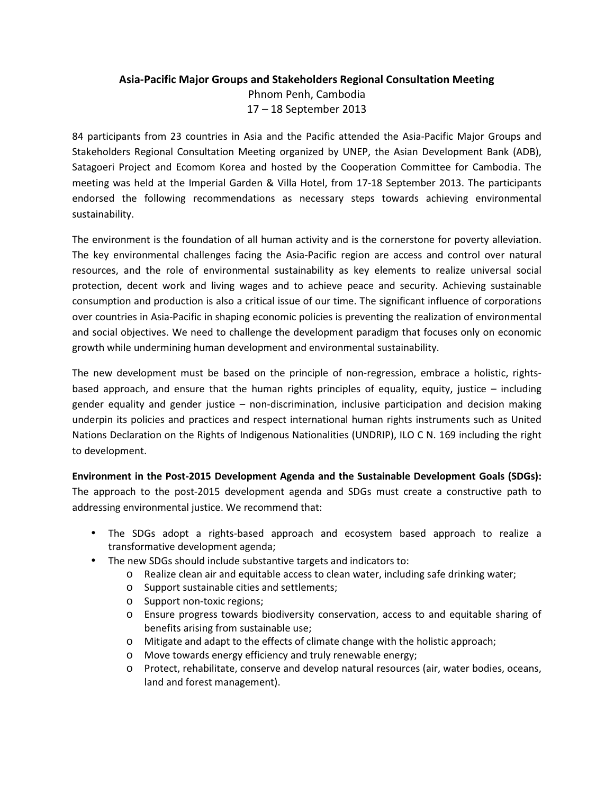## Asia-Pacific Major Groups and Stakeholders Regional Consultation Meeting Phnom Penh, Cambodia 17 – 18 September 2013

84 participants from 23 countries in Asia and the Pacific attended the Asia-Pacific Major Groups and Stakeholders Regional Consultation Meeting organized by UNEP, the Asian Development Bank (ADB), Satagoeri Project and Ecomom Korea and hosted by the Cooperation Committee for Cambodia. The meeting was held at the Imperial Garden & Villa Hotel, from 17-18 September 2013. The participants endorsed the following recommendations as necessary steps towards achieving environmental sustainability.

The environment is the foundation of all human activity and is the cornerstone for poverty alleviation. The key environmental challenges facing the Asia-Pacific region are access and control over natural resources, and the role of environmental sustainability as key elements to realize universal social protection, decent work and living wages and to achieve peace and security. Achieving sustainable consumption and production is also a critical issue of our time. The significant influence of corporations over countries in Asia-Pacific in shaping economic policies is preventing the realization of environmental and social objectives. We need to challenge the development paradigm that focuses only on economic growth while undermining human development and environmental sustainability.

The new development must be based on the principle of non-regression, embrace a holistic, rightsbased approach, and ensure that the human rights principles of equality, equity, justice – including gender equality and gender justice – non-discrimination, inclusive participation and decision making underpin its policies and practices and respect international human rights instruments such as United Nations Declaration on the Rights of Indigenous Nationalities (UNDRIP), ILO C N. 169 including the right to development.

Environment in the Post-2015 Development Agenda and the Sustainable Development Goals (SDGs): The approach to the post-2015 development agenda and SDGs must create a constructive path to addressing environmental justice. We recommend that:

- The SDGs adopt a rights-based approach and ecosystem based approach to realize a transformative development agenda;
- The new SDGs should include substantive targets and indicators to:
	- o Realize clean air and equitable access to clean water, including safe drinking water;
	- o Support sustainable cities and settlements;
	- o Support non-toxic regions;
	- o Ensure progress towards biodiversity conservation, access to and equitable sharing of benefits arising from sustainable use;
	- o Mitigate and adapt to the effects of climate change with the holistic approach;
	- o Move towards energy efficiency and truly renewable energy;
	- o Protect, rehabilitate, conserve and develop natural resources (air, water bodies, oceans, land and forest management).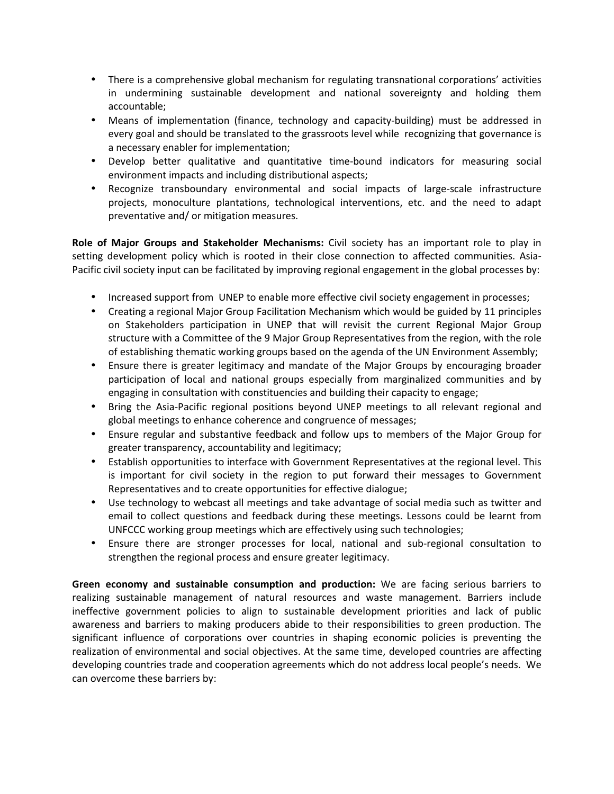- There is a comprehensive global mechanism for regulating transnational corporations' activities in undermining sustainable development and national sovereignty and holding them accountable;
- Means of implementation (finance, technology and capacity-building) must be addressed in every goal and should be translated to the grassroots level while recognizing that governance is a necessary enabler for implementation;
- Develop better qualitative and quantitative time-bound indicators for measuring social environment impacts and including distributional aspects;
- Recognize transboundary environmental and social impacts of large-scale infrastructure projects, monoculture plantations, technological interventions, etc. and the need to adapt preventative and/ or mitigation measures.

Role of Major Groups and Stakeholder Mechanisms: Civil society has an important role to play in setting development policy which is rooted in their close connection to affected communities. Asia-Pacific civil society input can be facilitated by improving regional engagement in the global processes by:

- Increased support from UNEP to enable more effective civil society engagement in processes;
- Creating a regional Major Group Facilitation Mechanism which would be guided by 11 principles on Stakeholders participation in UNEP that will revisit the current Regional Major Group structure with a Committee of the 9 Major Group Representatives from the region, with the role of establishing thematic working groups based on the agenda of the UN Environment Assembly;
- Ensure there is greater legitimacy and mandate of the Major Groups by encouraging broader participation of local and national groups especially from marginalized communities and by engaging in consultation with constituencies and building their capacity to engage;
- Bring the Asia-Pacific regional positions beyond UNEP meetings to all relevant regional and global meetings to enhance coherence and congruence of messages;
- Ensure regular and substantive feedback and follow ups to members of the Major Group for greater transparency, accountability and legitimacy;
- Establish opportunities to interface with Government Representatives at the regional level. This is important for civil society in the region to put forward their messages to Government Representatives and to create opportunities for effective dialogue;
- Use technology to webcast all meetings and take advantage of social media such as twitter and email to collect questions and feedback during these meetings. Lessons could be learnt from UNFCCC working group meetings which are effectively using such technologies;
- Ensure there are stronger processes for local, national and sub-regional consultation to strengthen the regional process and ensure greater legitimacy.

Green economy and sustainable consumption and production: We are facing serious barriers to realizing sustainable management of natural resources and waste management. Barriers include ineffective government policies to align to sustainable development priorities and lack of public awareness and barriers to making producers abide to their responsibilities to green production. The significant influence of corporations over countries in shaping economic policies is preventing the realization of environmental and social objectives. At the same time, developed countries are affecting developing countries trade and cooperation agreements which do not address local people's needs. We can overcome these barriers by: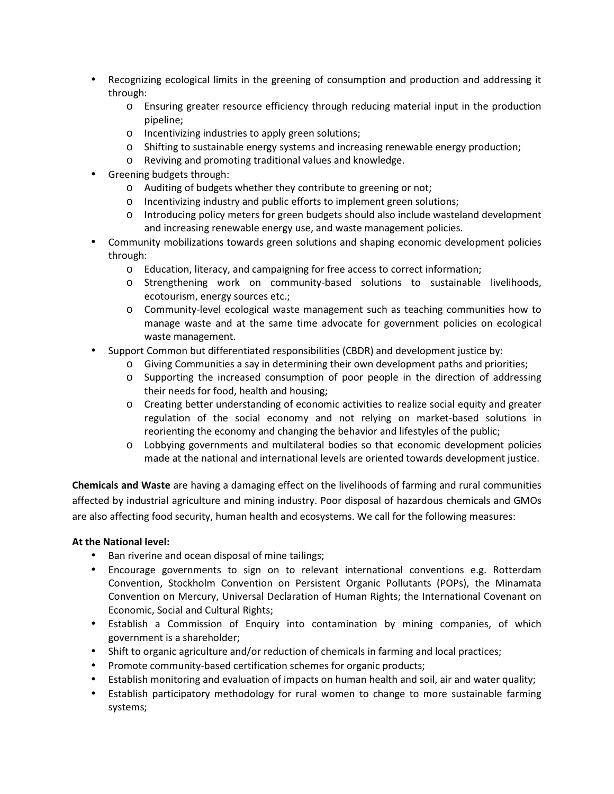- Recognizing ecological limits in the greening of consumption and production and addressing it through:
	- o Ensuring greater resource efficiency through reducing material input in the production pipeline;
	- o Incentivizing industries to apply green solutions;
	- o Shifting to sustainable energy systems and increasing renewable energy production;
	- o Reviving and promoting traditional values and knowledge.
- Greening budgets through:
	- o Auditing of budgets whether they contribute to greening or not;
	- o Incentivizing industry and public efforts to implement green solutions;
	- o Introducing policy meters for green budgets should also include wasteland development and increasing renewable energy use, and waste management policies.
- Community mobilizations towards green solutions and shaping economic development policies through:
	- o Education, literacy, and campaigning for free access to correct information;
	- o Strengthening work on community-based solutions to sustainable livelihoods, ecotourism, energy sources etc.;
	- o Community-level ecological waste management such as teaching communities how to manage waste and at the same time advocate for government policies on ecological waste management.
- Support Common but differentiated responsibilities (CBDR) and development justice by:
	- o Giving Communities a say in determining their own development paths and priorities;
	- o Supporting the increased consumption of poor people in the direction of addressing their needs for food, health and housing;
	- o Creating better understanding of economic activities to realize social equity and greater regulation of the social economy and not relying on market-based solutions in reorienting the economy and changing the behavior and lifestyles of the public;
	- o Lobbying governments and multilateral bodies so that economic development policies made at the national and international levels are oriented towards development justice.

Chemicals and Waste are having a damaging effect on the livelihoods of farming and rural communities affected by industrial agriculture and mining industry. Poor disposal of hazardous chemicals and GMOs are also affecting food security, human health and ecosystems. We call for the following measures:

## At the National level:

- Ban riverine and ocean disposal of mine tailings;
- Encourage governments to sign on to relevant international conventions e.g. Rotterdam Convention, Stockholm Convention on Persistent Organic Pollutants (POPs), the Minamata Convention on Mercury, Universal Declaration of Human Rights; the International Covenant on Economic, Social and Cultural Rights;
- Establish a Commission of Enquiry into contamination by mining companies, of which government is a shareholder;
- Shift to organic agriculture and/or reduction of chemicals in farming and local practices;
- Promote community-based certification schemes for organic products;
- Establish monitoring and evaluation of impacts on human health and soil, air and water quality;
- Establish participatory methodology for rural women to change to more sustainable farming systems;